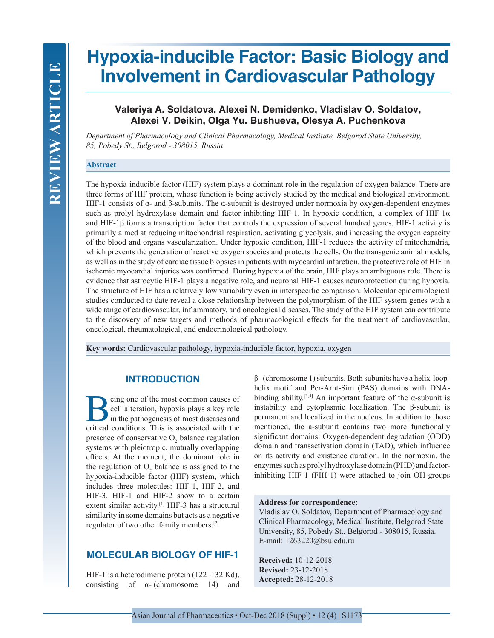# **Hypoxia-inducible Factor: Basic Biology and Involvement in Cardiovascular Pathology**

# **Valeriya A. Soldatova, Alexei N. Demidenko, Vladislav O. Soldatov, Alexei V. Deikin, Olga Yu. Bushueva, Olesya A. Puchenkova**

*Department of Pharmacology and Clinical Pharmacology, Medical Institute, Belgorod State University, 85, Pobedy St., Belgorod - 308015, Russia*

### **Abstract**

The hypoxia-inducible factor (HIF) system plays a dominant role in the regulation of oxygen balance. There are three forms of HIF protein, whose function is being actively studied by the medical and biological environment. HIF-1 consists of α- and β-subunits. The α-subunit is destroyed under normoxia by oxygen-dependent enzymes such as prolyl hydroxylase domain and factor-inhibiting HIF-1. In hypoxic condition, a complex of HIF-1 $\alpha$ and HIF-1β forms a transcription factor that controls the expression of several hundred genes. HIF-1 activity is primarily aimed at reducing mitochondrial respiration, activating glycolysis, and increasing the oxygen capacity of the blood and organs vascularization. Under hypoxic condition, HIF-1 reduces the activity of mitochondria, which prevents the generation of reactive oxygen species and protects the cells. On the transgenic animal models, as well as in the study of cardiac tissue biopsies in patients with myocardial infarction, the protective role of HIF in ischemic myocardial injuries was confirmed. During hypoxia of the brain, HIF plays an ambiguous role. There is evidence that astrocytic HIF-1 plays a negative role, and neuronal HIF-1 causes neuroprotection during hypoxia. The structure of HIF has a relatively low variability even in interspecific comparison. Molecular epidemiological studies conducted to date reveal a close relationship between the polymorphism of the HIF system genes with a wide range of cardiovascular, inflammatory, and oncological diseases. The study of the HIF system can contribute to the discovery of new targets and methods of pharmacological effects for the treatment of cardiovascular, oncological, rheumatological, and endocrinological pathology.

**Key words:** Cardiovascular pathology, hypoxia-inducible factor, hypoxia, oxygen

# **INTRODUCTION**

**B**eing one of the most common causes of<br>
eell alteration, hypoxia plays a key role<br>
in the pathogenesis of most diseases and<br>
critical conditions. This is associated with the cell alteration, hypoxia plays a key role in the pathogenesis of most diseases and critical conditions. This is associated with the presence of conservative  $O_2$  balance regulation systems with pleiotropic, mutually overlapping effects. At the moment, the dominant role in the regulation of  $O_2$  balance is assigned to the hypoxia-inducible factor (HIF) system, which includes three molecules: HIF-1, HIF-2, and HIF-3. HIF-1 and HIF-2 show to a certain extent similar activity.<sup>[1]</sup> HIF-3 has a structural similarity in some domains but acts as a negative regulator of two other family members.[2]

## **MOLECULAR BIOLOGY OF HIF-1**

HIF-1 is a heterodimeric protein (122–132 Kd), consisting of  $\alpha$ - (chromosome 14) and β- (chromosome 1) subunits. Both subunits have a helix-loophelix motif and Per-Arnt-Sim (PAS) domains with DNAbinding ability.<sup>[3,4]</sup> An important feature of the  $\alpha$ -subunit is instability and cytoplasmic localization. The β-subunit is permanent and localized in the nucleus. In addition to those mentioned, the a-subunit contains two more functionally significant domains: Oxygen-dependent degradation (ODD) domain and transactivation domain (TAD), which influence on its activity and existence duration. In the normoxia, the enzymes such as prolyl hydroxylase domain (PHD) and factorinhibiting HIF-1 (FIH-1) were attached to join OH-groups

#### **Address for correspondence:**

Vladislav O. Soldatov, Department of Pharmacology and Clinical Pharmacology, Medical Institute, Belgorod State University, 85, Pobedy St., Belgorod - 308015, Russia. E-mail: 1263220@bsu.edu.ru

**Received:** 10-12-2018 **Revised:** 23-12-2018 **Accepted:** 28-12-2018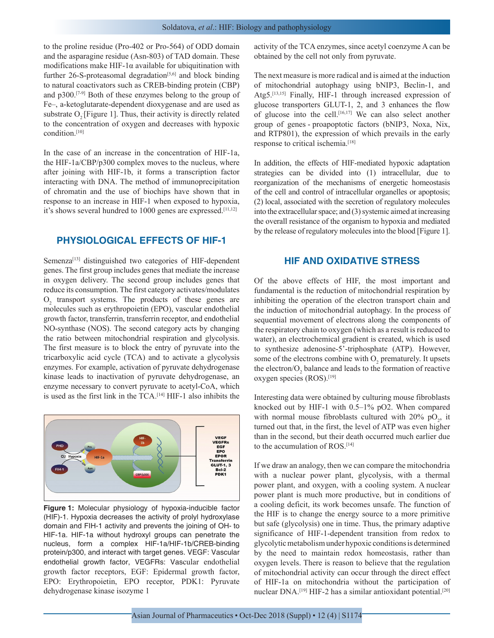to the proline residue (Pro-402 or Pro-564) of ODD domain and the asparagine residue (Asn-803) of TAD domain. These modifications make HIF-1 $\alpha$  available for ubiquitination with further  $26$ -S-proteasomal degradation<sup>[5,6]</sup> and block binding to natural coactivators such as CREB-binding protein (CBP) and p300.[7-9] Both of these enzymes belong to the group of Fe–, a-ketoglutarate-dependent dioxygenase and are used as substrate  $O_2$  [Figure 1]. Thus, their activity is directly related to the concentration of oxygen and decreases with hypoxic condition.[10]

In the case of an increase in the concentration of HIF-1a, the HIF-1a/CBP/p300 complex moves to the nucleus, where after joining with HIF-1b, it forms a transcription factor interacting with DNA. The method of immunoprecipitation of chromatin and the use of biochips have shown that in response to an increase in HIF-1 when exposed to hypoxia, it's shows several hundred to 1000 genes are expressed.[11,12]

# **PHYSIOLOGICAL EFFECTS OF HIF-1**

Semenza<sup>[13]</sup> distinguished two categories of HIF-dependent genes. The first group includes genes that mediate the increase in oxygen delivery. The second group includes genes that reduce its consumption. The first category activates/modulates  $O<sub>2</sub>$  transport systems. The products of these genes are molecules such as erythropoietin (EPO), vascular endothelial growth factor, transferrin, transferrin receptor, and endothelial NO-synthase (NOS). The second category acts by changing the ratio between mitochondrial respiration and glycolysis. The first measure is to block the entry of pyruvate into the tricarboxylic acid cycle (TCA) and to activate a glycolysis enzymes. For example, activation of pyruvate dehydrogenase kinase leads to inactivation of pyruvate dehydrogenase, an enzyme necessary to convert pyruvate to acetyl-CoA, which is used as the first link in the TCA.[14] HIF-1 also inhibits the



**Figure 1:** Molecular physiology of hypoxia-inducible factor (HIF)-1. Hypoxia decreases the activity of prolyl hydroxylase domain and FIH-1 activity and prevents the joining of OH- to HIF-1a. HIF-1a without hydroxyl groups can penetrate the nucleus, form a complex HIF-1a/HIF-1b/CREB-binding protein/p300, and interact with target genes. VEGF: Vascular endothelial growth factor, VEGFRs: Vascular endothelial growth factor receptors, EGF: Epidermal growth factor, EPO: Erythropoietin, EPO receptor, PDK1: Pyruvate dehydrogenase kinase isozyme 1

activity of the TCA enzymes, since acetyl coenzyme A can be obtained by the cell not only from pyruvate.

The next measure is more radical and is aimed at the induction of mitochondrial autophagy using bNIP3, Beclin-1, and Atg5.<sup>[13,15]</sup> Finally, HIF-1 through increased expression of glucose transporters GLUT-1, 2, and 3 enhances the flow of glucose into the cell.[16,17] We can also select another group of genes - proapoptotic factors (bNIP3, Noxa, Nix, and RTP801), the expression of which prevails in the early response to critical ischemia.[18]

In addition, the effects of HIF-mediated hypoxic adaptation strategies can be divided into (1) intracellular, due to reorganization of the mechanisms of energetic homeostasis of the cell and control of intracellular organelles or apoptosis; (2) local, associated with the secretion of regulatory molecules into the extracellular space; and (3) systemic aimed at increasing the overall resistance of the organism to hypoxia and mediated by the release of regulatory molecules into the blood [Figure 1].

## **HIF AND OXIDATIVE STRESS**

Of the above effects of HIF, the most important and fundamental is the reduction of mitochondrial respiration by inhibiting the operation of the electron transport chain and the induction of mitochondrial autophagy. In the process of sequential movement of electrons along the components of the respiratory chain to oxygen (which as a result is reduced to water), an electrochemical gradient is created, which is used to synthesize adenosine-5'-triphosphate (ATP). However, some of the electrons combine with  $O_2$  prematurely. It upsets the electron/ $O_2$  balance and leads to the formation of reactive oxygen species (ROS).[19]

Interesting data were obtained by culturing mouse fibroblasts knocked out by HIF-1 with 0.5–1% pO2. When compared with normal mouse fibroblasts cultured with 20%  $pO_2$ , it turned out that, in the first, the level of ATP was even higher than in the second, but their death occurred much earlier due to the accumulation of ROS.[14]

If we draw an analogy, then we can compare the mitochondria with a nuclear power plant, glycolysis, with a thermal power plant, and oxygen, with a cooling system. A nuclear power plant is much more productive, but in conditions of a cooling deficit, its work becomes unsafe. The function of the HIF is to change the energy source to a more primitive but safe (glycolysis) one in time. Thus, the primary adaptive significance of HIF-1-dependent transition from redox to glycolytic metabolism under hypoxic conditions is determined by the need to maintain redox homeostasis, rather than oxygen levels. There is reason to believe that the regulation of mitochondrial activity can occur through the direct effect of HIF-1a on mitochondria without the participation of nuclear DNA.<sup>[19]</sup> HIF-2 has a similar antioxidant potential.<sup>[20]</sup>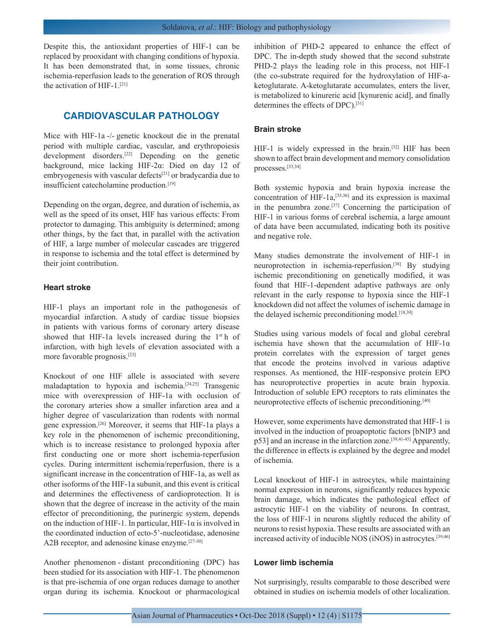Despite this, the antioxidant properties of HIF-1 can be replaced by prooxidant with changing conditions of hypoxia. It has been demonstrated that, in some tissues, chronic ischemia-reperfusion leads to the generation of ROS through the activation of HIF-1.[21]

# **CARDIOVASCULAR PATHOLOGY**

Mice with HIF-1a -/- genetic knockout die in the prenatal period with multiple cardiac, vascular, and erythropoiesis development disorders.[22] Depending on the genetic background, mice lacking HIF-2α: Died on day 12 of embryogenesis with vascular defects<sup>[21]</sup> or bradycardia due to insufficient catecholamine production.[19]

Depending on the organ, degree, and duration of ischemia, as well as the speed of its onset, HIF has various effects: From protector to damaging. This ambiguity is determined; among other things, by the fact that, in parallel with the activation of HIF, a large number of molecular cascades are triggered in response to ischemia and the total effect is determined by their joint contribution.

## **Heart stroke**

HIF-1 plays an important role in the pathogenesis of myocardial infarction. A study of cardiac tissue biopsies in patients with various forms of coronary artery disease showed that HIF-1a levels increased during the 1<sup>st</sup> h of infarction, with high levels of elevation associated with a more favorable prognosis.[23]

Knockout of one HIF allele is associated with severe maladaptation to hypoxia and ischemia.[24,25] Transgenic mice with overexpression of HIF-1a with occlusion of the coronary arteries show a smaller infarction area and a higher degree of vascularization than rodents with normal gene expression.[26] Moreover, it seems that HIF-1a plays a key role in the phenomenon of ischemic preconditioning, which is to increase resistance to prolonged hypoxia after first conducting one or more short ischemia-reperfusion cycles. During intermittent ischemia/reperfusion, there is a significant increase in the concentration of HIF-1a, as well as other isoforms of the HIF-1a subunit, and this event is critical and determines the effectiveness of cardioprotection. It is shown that the degree of increase in the activity of the main effector of preconditioning, the purinergic system, depends on the induction of HIF-1. In particular, HIF-1 $\alpha$  is involved in the coordinated induction of ecto-5'-nucleotidase, adenosine A2B receptor, and adenosine kinase enzyme.<sup>[27-30]</sup>

Another phenomenon - distant preconditioning (DPC) has been studied for its association with HIF-1. The phenomenon is that pre-ischemia of one organ reduces damage to another organ during its ischemia. Knockout or pharmacological inhibition of PHD-2 appeared to enhance the effect of DPC. The in-depth study showed that the second substrate PHD-2 plays the leading role in this process, not HIF-1 (the co-substrate required for the hydroxylation of HIF-aketoglutarate. A-ketoglutarate accumulates, enters the liver, is metabolized to kinureric acid [kynurenic acid], and finally determines the effects of DPC).[31]

#### **Brain stroke**

HIF-1 is widely expressed in the brain.<sup>[32]</sup> HIF has been shown to affect brain development and memory consolidation processes.[33,34]

Both systemic hypoxia and brain hypoxia increase the concentration of HIF-1a,[35,36] and its expression is maximal in the penumbra zone.[37] Concerning the participation of HIF-1 in various forms of cerebral ischemia, a large amount of data have been accumulated, indicating both its positive and negative role.

Many studies demonstrate the involvement of HIF-1 in neuroprotection in ischemia-reperfusion.[38] By studying ischemic preconditioning on genetically modified, it was found that HIF-1-dependent adaptive pathways are only relevant in the early response to hypoxia since the HIF-1 knockdown did not affect the volumes of ischemic damage in the delayed ischemic preconditioning model.<sup>[18,39]</sup>

Studies using various models of focal and global cerebral ischemia have shown that the accumulation of HIF-1α protein correlates with the expression of target genes that encode the proteins involved in various adaptive responses. As mentioned, the HIF-responsive protein EPO has neuroprotective properties in acute brain hypoxia. Introduction of soluble EPO receptors to rats eliminates the neuroprotective effects of ischemic preconditioning.<sup>[40]</sup>

However, some experiments have demonstrated that HIF-1 is involved in the induction of proapoptotic factors [bNIP3 and p53] and an increase in the infarction zone.<sup>[39,41-45]</sup> Apparently, the difference in effects is explained by the degree and model of ischemia.

Local knockout of HIF-1 in astrocytes, while maintaining normal expression in neurons, significantly reduces hypoxic brain damage, which indicates the pathological effect of astrocytic HIF-1 on the viability of neurons. In contrast, the loss of HIF-1 in neurons slightly reduced the ability of neurons to resist hypoxia. These results are associated with an increased activity of inducible NOS (iNOS) in astrocytes.[39,46]

#### **Lower limb ischemia**

Not surprisingly, results comparable to those described were obtained in studies on ischemia models of other localization.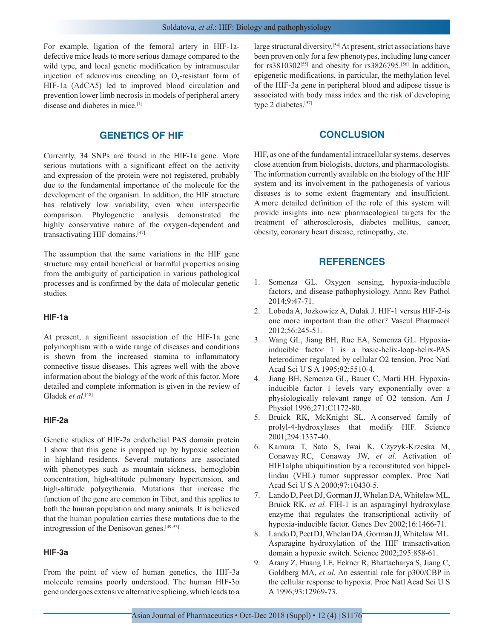For example, ligation of the femoral artery in HIF-1adefective mice leads to more serious damage compared to the wild type, and local genetic modification by intramuscular injection of adenovirus encoding an  $O_2$ -resistant form of HIF-1a (AdCA5) led to improved blood circulation and prevention lower limb necrosis in models of peripheral artery disease and diabetes in mice.[1]

## **GENETICS OF HIF**

Currently, 34 SNPs are found in the HIF-1a gene. More serious mutations with a significant effect on the activity and expression of the protein were not registered, probably due to the fundamental importance of the molecule for the development of the organism. In addition, the HIF structure has relatively low variability, even when interspecific comparison. Phylogenetic analysis demonstrated the highly conservative nature of the oxygen-dependent and transactivating HIF domains.[47]

The assumption that the same variations in the HIF gene structure may entail beneficial or harmful properties arising from the ambiguity of participation in various pathological processes and is confirmed by the data of molecular genetic studies.

#### **HIF-1a**

At present, a significant association of the HIF-1a gene polymorphism with a wide range of diseases and conditions is shown from the increased stamina to inflammatory connective tissue diseases. This agrees well with the above information about the biology of the work of this factor. More detailed and complete information is given in the review of Gladek *et al*.<sup>[48]</sup>

#### **HIF-2a**

Genetic studies of HIF-2a endothelial PAS domain protein 1 show that this gene is propped up by hypoxic selection in highland residents. Several mutations are associated with phenotypes such as mountain sickness, hemoglobin concentration, high-altitude pulmonary hypertension, and high-altitude polycythemia. Mutations that increase the function of the gene are common in Tibet, and this applies to both the human population and many animals. It is believed that the human population carries these mutations due to the introgression of the Denisovan genes.[49-53]

#### **HIF-3a**

From the point of view of human genetics, the HIF-3a molecule remains poorly understood. The human HIF-3α gene undergoes extensive alternative splicing, which leads to a large structural diversity.[54] At present, strict associations have been proven only for a few phenotypes, including lung cancer for  $rs3810302^{[55]}$  and obesity for  $rs3826795$ .<sup>[56]</sup> In addition, epigenetic modifications, in particular, the methylation level of the HIF-3a gene in peripheral blood and adipose tissue is associated with body mass index and the risk of developing type 2 diabetes.<sup>[57]</sup>

### **CONCLUSION**

HIF, as one of the fundamental intracellular systems, deserves close attention from biologists, doctors, and pharmacologists. The information currently available on the biology of the HIF system and its involvement in the pathogenesis of various diseases is to some extent fragmentary and insufficient. A more detailed definition of the role of this system will provide insights into new pharmacological targets for the treatment of atherosclerosis, diabetes mellitus, cancer, obesity, coronary heart disease, retinopathy, etc.

## **REFERENCES**

- 1. Semenza GL. Oxygen sensing, hypoxia-inducible factors, and disease pathophysiology. Annu Rev Pathol 2014;9:47-71.
- 2. Loboda A, Jozkowicz A, Dulak J. HIF-1 versus HIF-2-is one more important than the other? Vascul Pharmacol 2012;56:245-51.
- 3. Wang GL, Jiang BH, Rue EA, Semenza GL. Hypoxiainducible factor 1 is a basic-helix-loop-helix-PAS heterodimer regulated by cellular O2 tension. Proc Natl Acad Sci U S A 1995;92:5510-4.
- 4. Jiang BH, Semenza GL, Bauer C, Marti HH. Hypoxiainducible factor 1 levels vary exponentially over a physiologically relevant range of O2 tension. Am J Physiol 1996;271:C1172-80.
- 5. Bruick RK, McKnight SL. A conserved family of prolyl-4-hydroxylases that modify HIF. Science 2001;294:1337-40.
- 6. Kamura T, Sato S, Iwai K, Czyzyk-Krzeska M, Conaway RC, Conaway JW, *et al.* Activation of HIF1alpha ubiquitination by a reconstituted von hippellindau (VHL) tumor suppressor complex. Proc Natl Acad Sci U S A 2000;97:10430-5.
- 7. Lando D, Peet DJ, Gorman JJ, Whelan DA, Whitelaw ML, Bruick RK, *et al.* FIH-1 is an asparaginyl hydroxylase enzyme that regulates the transcriptional activity of hypoxia-inducible factor. Genes Dev 2002;16:1466-71.
- 8. Lando D, Peet DJ, Whelan DA, Gorman JJ, Whitelaw ML. Asparagine hydroxylation of the HIF transactivation domain a hypoxic switch. Science 2002;295:858-61.
- 9. Arany Z, Huang LE, Eckner R, Bhattacharya S, Jiang C, Goldberg MA, *et al.* An essential role for p300/CBP in the cellular response to hypoxia. Proc Natl Acad Sci U S A 1996;93:12969-73.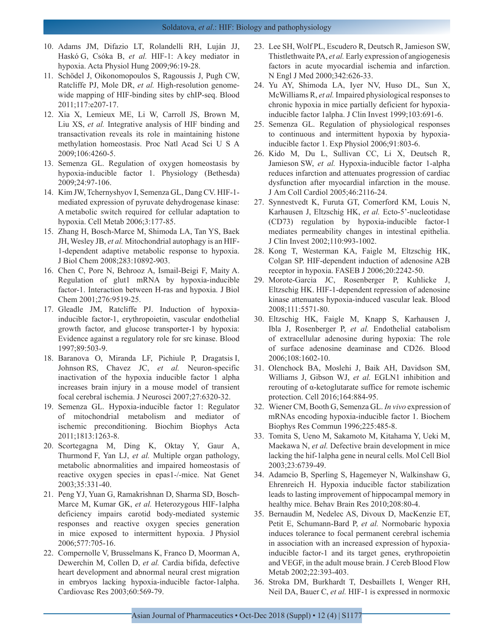- 10. Adams JM, Difazio LT, Rolandelli RH, Luján JJ, Haskó G, Csóka B, *et al.* HIF-1: A key mediator in hypoxia. Acta Physiol Hung 2009;96:19-28.
- 11. Schödel J, Oikonomopoulos S, Ragoussis J, Pugh CW, Ratcliffe PJ, Mole DR, *et al.* High-resolution genomewide mapping of HIF-binding sites by chIP-seq. Blood 2011;117:e207-17.
- 12. Xia X, Lemieux ME, Li W, Carroll JS, Brown M, Liu XS, *et al.* Integrative analysis of HIF binding and transactivation reveals its role in maintaining histone methylation homeostasis. Proc Natl Acad Sci U S A 2009;106:4260-5.
- 13. Semenza GL. Regulation of oxygen homeostasis by hypoxia-inducible factor 1. Physiology (Bethesda) 2009;24:97-106.
- 14. Kim JW, Tchernyshyov I, Semenza GL, Dang CV. HIF-1 mediated expression of pyruvate dehydrogenase kinase: A metabolic switch required for cellular adaptation to hypoxia. Cell Metab 2006;3:177-85.
- 15. Zhang H, Bosch-Marce M, Shimoda LA, Tan YS, Baek JH, Wesley JB, *et al.* Mitochondrial autophagy is an HIF-1-dependent adaptive metabolic response to hypoxia. J Biol Chem 2008;283:10892-903.
- 16. Chen C, Pore N, Behrooz A, Ismail-Beigi F, Maity A. Regulation of glut1 mRNA by hypoxia-inducible factor-1. Interaction between H-ras and hypoxia. J Biol Chem 2001;276:9519-25.
- 17. Gleadle JM, Ratcliffe PJ. Induction of hypoxiainducible factor-1, erythropoietin, vascular endothelial growth factor, and glucose transporter-1 by hypoxia: Evidence against a regulatory role for src kinase. Blood 1997;89:503-9.
- 18. Baranova O, Miranda LF, Pichiule P, Dragatsis I, Johnson RS, Chavez JC, *et al.* Neuron-specific inactivation of the hypoxia inducible factor 1 alpha increases brain injury in a mouse model of transient focal cerebral ischemia. J Neurosci 2007;27:6320-32.
- 19. Semenza GL. Hypoxia-inducible factor 1: Regulator of mitochondrial metabolism and mediator of ischemic preconditioning. Biochim Biophys Acta 2011;1813:1263-8.
- 20. Scortegagna M, Ding K, Oktay Y, Gaur A, Thurmond F, Yan LJ, *et al.* Multiple organ pathology, metabolic abnormalities and impaired homeostasis of reactive oxygen species in epas1-/-mice. Nat Genet 2003;35:331-40.
- 21. Peng YJ, Yuan G, Ramakrishnan D, Sharma SD, Bosch-Marce M, Kumar GK, *et al.* Heterozygous HIF-1alpha deficiency impairs carotid body-mediated systemic responses and reactive oxygen species generation in mice exposed to intermittent hypoxia. J Physiol 2006;577:705-16.
- 22. Compernolle V, Brusselmans K, Franco D, Moorman A, Dewerchin M, Collen D, *et al.* Cardia bifida, defective heart development and abnormal neural crest migration in embryos lacking hypoxia-inducible factor-1alpha. Cardiovasc Res 2003;60:569-79.
- 23. Lee SH, Wolf PL, Escudero R, Deutsch R, Jamieson SW, Thistlethwaite PA, *et al.* Early expression of angiogenesis factors in acute myocardial ischemia and infarction. N Engl J Med 2000;342:626-33.
- 24. Yu AY, Shimoda LA, Iyer NV, Huso DL, Sun X, McWilliams R, *et al.* Impaired physiological responses to chronic hypoxia in mice partially deficient for hypoxiainducible factor 1alpha. J Clin Invest 1999;103:691-6.
- 25. Semenza GL. Regulation of physiological responses to continuous and intermittent hypoxia by hypoxiainducible factor 1. Exp Physiol 2006;91:803-6.
- 26. Kido M, Du L, Sullivan CC, Li X, Deutsch R, Jamieson SW, *et al.* Hypoxia-inducible factor 1-alpha reduces infarction and attenuates progression of cardiac dysfunction after myocardial infarction in the mouse. J Am Coll Cardiol 2005;46:2116-24.
- 27. Synnestvedt K, Furuta GT, Comerford KM, Louis N, Karhausen J, Eltzschig HK, *et al.* Ecto-5'-nucleotidase (CD73) regulation by hypoxia-inducible factor-1 mediates permeability changes in intestinal epithelia. J Clin Invest 2002;110:993-1002.
- 28. Kong T, Westerman KA, Faigle M, Eltzschig HK, Colgan SP. HIF-dependent induction of adenosine A2B receptor in hypoxia. FASEB J 2006;20:2242-50.
- 29. Morote-Garcia JC, Rosenberger P, Kuhlicke J, Eltzschig HK. HIF-1-dependent repression of adenosine kinase attenuates hypoxia-induced vascular leak. Blood 2008;111:5571-80.
- 30. Eltzschig HK, Faigle M, Knapp S, Karhausen J, Ibla J, Rosenberger P, *et al.* Endothelial catabolism of extracellular adenosine during hypoxia: The role of surface adenosine deaminase and CD26. Blood 2006;108:1602-10.
- 31. Olenchock BA, Moslehi J, Baik AH, Davidson SM, Williams J, Gibson WJ, *et al.* EGLN1 inhibition and rerouting of α-ketoglutarate suffice for remote ischemic protection. Cell 2016;164:884-95.
- 32. Wiener CM, Booth G, Semenza GL. *In vivo* expression of mRNAs encoding hypoxia-inducible factor 1. Biochem Biophys Res Commun 1996;225:485-8.
- 33. Tomita S, Ueno M, Sakamoto M, Kitahama Y, Ueki M, Maekawa N, *et al.* Defective brain development in mice lacking the hif-1alpha gene in neural cells. Mol Cell Biol 2003;23:6739-49.
- 34. Adamcio B, Sperling S, Hagemeyer N, Walkinshaw G, Ehrenreich H. Hypoxia inducible factor stabilization leads to lasting improvement of hippocampal memory in healthy mice. Behav Brain Res 2010;208:80-4.
- 35. Bernaudin M, Nedelec AS, Divoux D, MacKenzie ET, Petit E, Schumann-Bard P, *et al.* Normobaric hypoxia induces tolerance to focal permanent cerebral ischemia in association with an increased expression of hypoxiainducible factor-1 and its target genes, erythropoietin and VEGF, in the adult mouse brain. J Cereb Blood Flow Metab 2002;22:393-403.
- 36. Stroka DM, Burkhardt T, Desbaillets I, Wenger RH, Neil DA, Bauer C, *et al.* HIF-1 is expressed in normoxic